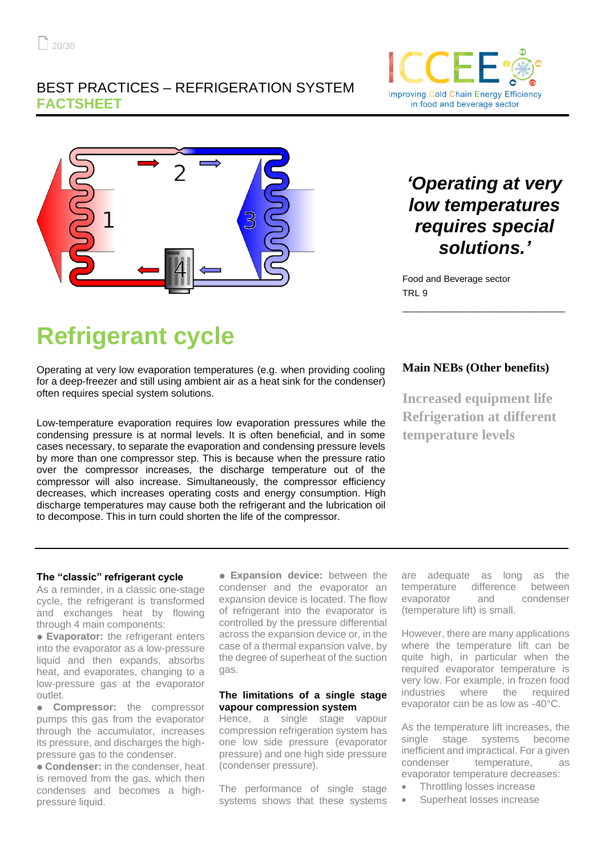### BEST PRACTICES – REFRIGERATION SYSTEM **FACTSHEET**





## *'Operating at very low temperatures requires special solutions.'*

Food and Beverage sector TRL 9

# **Refrigerant cycle**

Operating at very low evaporation temperatures (e.g. when providing cooling for a deep-freezer and still using ambient air as a heat sink for the condenser) often requires special system solutions.

Low-temperature evaporation requires low evaporation pressures while the condensing pressure is at normal levels. It is often beneficial, and in some cases necessary, to separate the evaporation and condensing pressure levels by more than one compressor step. This is because when the pressure ratio over the compressor increases, the discharge temperature out of the compressor will also increase. Simultaneously, the compressor efficiency decreases, which increases operating costs and energy consumption. High discharge temperatures may cause both the refrigerant and the lubrication oil to decompose. This in turn could shorten the life of the compressor.

#### **Main NEBs (Other benefits)**

\_\_\_\_\_\_\_\_\_\_\_\_\_\_\_\_\_\_\_\_\_\_\_\_\_\_\_\_\_\_\_\_

**Increased equipment life Refrigeration at different temperature levels**

#### **The "classic" refrigerant cycle**

As a reminder, in a classic one-stage cycle, the refrigerant is transformed and exchanges heat by flowing through 4 main components:

● **Evaporator:** the refrigerant enters into the evaporator as a low-pressure liquid and then expands, absorbs heat, and evaporates, changing to a low-pressure gas at the evaporator outlet.

● **Compressor:** the compressor pumps this gas from the evaporator through the accumulator, increases its pressure, and discharges the highpressure gas to the condenser.

● **Condenser:** in the condenser, heat is removed from the gas, which then condenses and becomes a highpressure liquid.

● **Expansion device:** between the condenser and the evaporator an expansion device is located. The flow of refrigerant into the evaporator is controlled by the pressure differential across the expansion device or, in the case of a thermal expansion valve, by the degree of superheat of the suction gas.

#### **The limitations of a single stage vapour compression system**

Hence, a single stage vapour compression refrigeration system has one low side pressure (evaporator pressure) and one high side pressure (condenser pressure).

The performance of single stage systems shows that these systems are adequate as long as the temperature difference between evaporator and condenser (temperature lift) is small.

However, there are many applications where the temperature lift can be quite high, in particular when the required evaporator temperature is very low. For example, in frozen food industries where the required evaporator can be as low as -40°C.

As the temperature lift increases, the single stage systems become inefficient and impractical. For a given condenser temperature, as evaporator temperature decreases:

- Throttling losses increase
- Superheat losses increase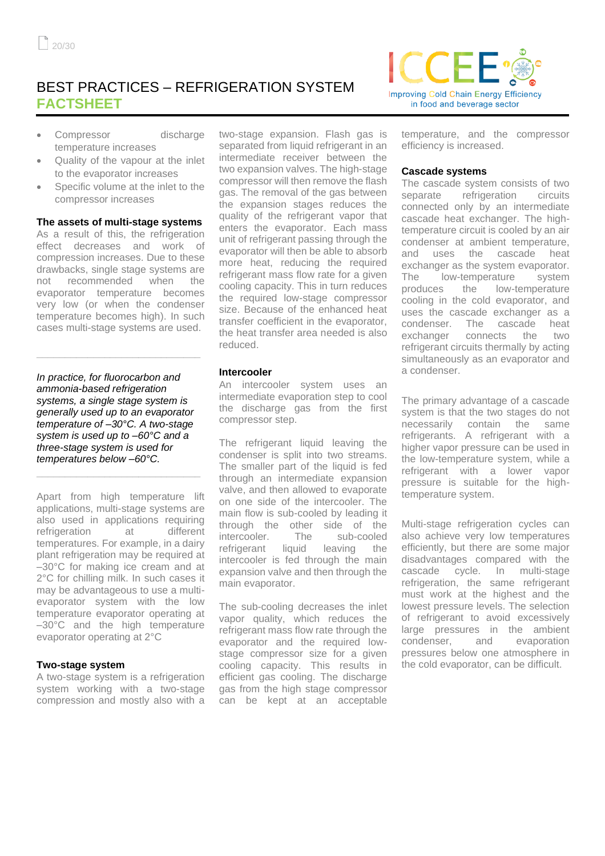## BEST PRACTICES – REFRIGERATION SYSTEM **FACTSHEET**

- Compressor discharge temperature increases
- Quality of the vapour at the inlet to the evaporator increases
- Specific volume at the inlet to the compressor increases

#### **The assets of multi-stage systems**

As a result of this, the refrigeration effect decreases and work of compression increases. Due to these drawbacks, single stage systems are not recommended when the evaporator temperature becomes very low (or when the condenser temperature becomes high). In such cases multi-stage systems are used.

*In practice, for fluorocarbon and ammonia-based refrigeration systems, a single stage system is generally used up to an evaporator temperature of –30°C. A two-stage system is used up to –60°C and a three-stage system is used for temperatures below –60°C.* 

**\_\_\_\_\_\_\_\_\_\_\_\_\_\_\_\_\_\_\_\_\_\_\_\_\_\_\_\_\_**

**\_\_\_\_\_\_\_\_\_\_\_\_\_\_\_\_\_\_\_\_\_\_\_\_\_\_\_\_\_**

Apart from high temperature lift applications, multi-stage systems are also used in applications requiring refrigeration at different temperatures. For example, in a dairy plant refrigeration may be required at –30°C for making ice cream and at 2°C for chilling milk. In such cases it may be advantageous to use a multievaporator system with the low temperature evaporator operating at –30°C and the high temperature evaporator operating at 2°C

#### **Two-stage system**

A two-stage system is a refrigeration system working with a two-stage compression and mostly also with a two-stage expansion. Flash gas is separated from liquid refrigerant in an intermediate receiver between the two expansion valves. The high-stage compressor will then remove the flash gas. The removal of the gas between the expansion stages reduces the quality of the refrigerant vapor that enters the evaporator. Each mass unit of refrigerant passing through the evaporator will then be able to absorb more heat, reducing the required refrigerant mass flow rate for a given cooling capacity. This in turn reduces the required low-stage compressor size. Because of the enhanced heat transfer coefficient in the evaporator, the heat transfer area needed is also reduced.

#### **Intercooler**

An intercooler system uses an intermediate evaporation step to cool the discharge gas from the first compressor step.

The refrigerant liquid leaving the condenser is split into two streams. The smaller part of the liquid is fed through an intermediate expansion valve, and then allowed to evaporate on one side of the intercooler. The main flow is sub-cooled by leading it through the other side of the intercooler. The sub-cooled refrigerant liquid leaving the intercooler is fed through the main expansion valve and then through the main evaporator.

The sub-cooling decreases the inlet vapor quality, which reduces the refrigerant mass flow rate through the evaporator and the required lowstage compressor size for a given cooling capacity. This results in efficient gas cooling. The discharge gas from the high stage compressor can be kept at an acceptable



temperature, and the compressor efficiency is increased.

#### **Cascade systems**

The cascade system consists of two separate refrigeration circuits connected only by an intermediate cascade heat exchanger. The hightemperature circuit is cooled by an air condenser at ambient temperature, and uses the cascade heat exchanger as the system evaporator. The low-temperature system produces the low-temperature cooling in the cold evaporator, and uses the cascade exchanger as a condenser. The cascade heat exchanger connects the two refrigerant circuits thermally by acting simultaneously as an evaporator and a condenser.

The primary advantage of a cascade system is that the two stages do not necessarily contain the same refrigerants. A refrigerant with a higher vapor pressure can be used in the low-temperature system, while a refrigerant with a lower vapor pressure is suitable for the hightemperature system.

Multi-stage refrigeration cycles can also achieve very low temperatures efficiently, but there are some major disadvantages compared with the cascade cycle. In multi-stage refrigeration, the same refrigerant must work at the highest and the lowest pressure levels. The selection of refrigerant to avoid excessively large pressures in the ambient condenser, and evaporation pressures below one atmosphere in the cold evaporator, can be difficult.